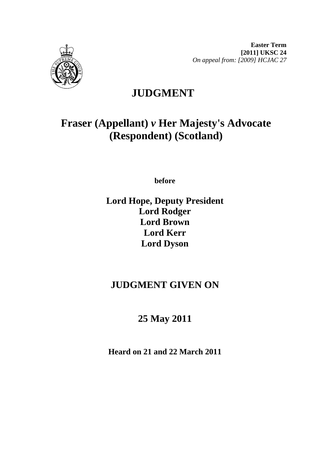

# **JUDGMENT**

# **Fraser (Appellant)** *v* **Her Majesty's Advocate (Respondent) (Scotland)**

**before** 

### **Lord Hope, Deputy President Lord Rodger Lord Brown Lord Kerr Lord Dyson**

## **JUDGMENT GIVEN ON**

## **25 May 2011**

**Heard on 21 and 22 March 2011**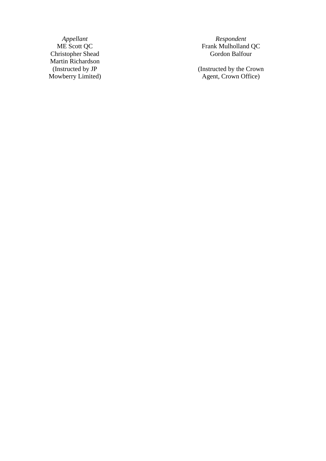Appellant<br>ME Scott QC<br>Christopher Shead Martin Richardson (Instructed by JP Mowberry Limited)

*Appellant Respondent*  ME Scott QC Frank Mulholland QC Gordon Balfour

> (Instructed by the Crown Agent, Crown Office)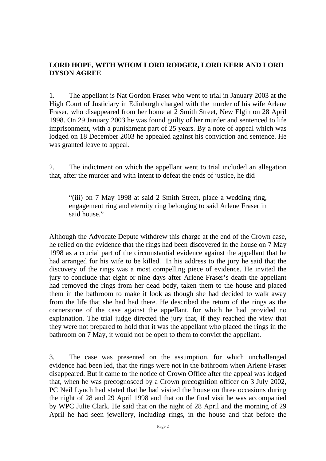#### **LORD HOPE, WITH WHOM LORD RODGER, LORD KERR AND LORD DYSON AGREE**

1. The appellant is Nat Gordon Fraser who went to trial in January 2003 at the High Court of Justiciary in Edinburgh charged with the murder of his wife Arlene Fraser, who disappeared from her home at 2 Smith Street, New Elgin on 28 April 1998. On 29 January 2003 he was found guilty of her murder and sentenced to life imprisonment, with a punishment part of 25 years. By a note of appeal which was lodged on 18 December 2003 he appealed against his conviction and sentence. He was granted leave to appeal.

2. The indictment on which the appellant went to trial included an allegation that, after the murder and with intent to defeat the ends of justice, he did

"(iii) on 7 May 1998 at said 2 Smith Street, place a wedding ring, engagement ring and eternity ring belonging to said Arlene Fraser in said house."

Although the Advocate Depute withdrew this charge at the end of the Crown case, he relied on the evidence that the rings had been discovered in the house on 7 May 1998 as a crucial part of the circumstantial evidence against the appellant that he had arranged for his wife to be killed. In his address to the jury he said that the discovery of the rings was a most compelling piece of evidence. He invited the jury to conclude that eight or nine days after Arlene Fraser's death the appellant had removed the rings from her dead body, taken them to the house and placed them in the bathroom to make it look as though she had decided to walk away from the life that she had had there. He described the return of the rings as the cornerstone of the case against the appellant, for which he had provided no explanation. The trial judge directed the jury that, if they reached the view that they were not prepared to hold that it was the appellant who placed the rings in the bathroom on 7 May, it would not be open to them to convict the appellant.

3. The case was presented on the assumption, for which unchallenged evidence had been led, that the rings were not in the bathroom when Arlene Fraser disappeared. But it came to the notice of Crown Office after the appeal was lodged that, when he was precognosced by a Crown precognition officer on 3 July 2002, PC Neil Lynch had stated that he had visited the house on three occasions during the night of 28 and 29 April 1998 and that on the final visit he was accompanied by WPC Julie Clark. He said that on the night of 28 April and the morning of 29 April he had seen jewellery, including rings, in the house and that before the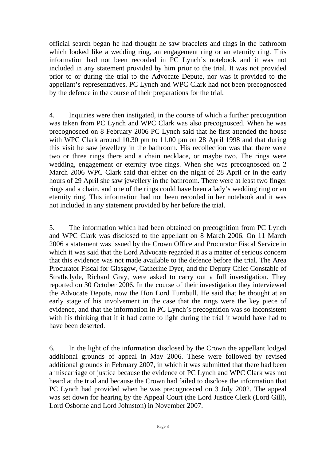official search began he had thought he saw bracelets and rings in the bathroom which looked like a wedding ring, an engagement ring or an eternity ring. This information had not been recorded in PC Lynch's notebook and it was not included in any statement provided by him prior to the trial. It was not provided prior to or during the trial to the Advocate Depute, nor was it provided to the appellant's representatives. PC Lynch and WPC Clark had not been precognosced by the defence in the course of their preparations for the trial.

4. Inquiries were then instigated, in the course of which a further precognition was taken from PC Lynch and WPC Clark was also precognosced. When he was precognosced on 8 February 2006 PC Lynch said that he first attended the house with WPC Clark around 10.30 pm to 11.00 pm on 28 April 1998 and that during this visit he saw jewellery in the bathroom. His recollection was that there were two or three rings there and a chain necklace, or maybe two. The rings were wedding, engagement or eternity type rings. When she was precognosced on 2 March 2006 WPC Clark said that either on the night of 28 April or in the early hours of 29 April she saw jewellery in the bathroom. There were at least two finger rings and a chain, and one of the rings could have been a lady's wedding ring or an eternity ring. This information had not been recorded in her notebook and it was not included in any statement provided by her before the trial.

5. The information which had been obtained on precognition from PC Lynch and WPC Clark was disclosed to the appellant on 8 March 2006. On 11 March 2006 a statement was issued by the Crown Office and Procurator Fiscal Service in which it was said that the Lord Advocate regarded it as a matter of serious concern that this evidence was not made available to the defence before the trial. The Area Procurator Fiscal for Glasgow, Catherine Dyer, and the Deputy Chief Constable of Strathclyde, Richard Gray, were asked to carry out a full investigation. They reported on 30 October 2006. In the course of their investigation they interviewed the Advocate Depute, now the Hon Lord Turnbull. He said that he thought at an early stage of his involvement in the case that the rings were the key piece of evidence, and that the information in PC Lynch's precognition was so inconsistent with his thinking that if it had come to light during the trial it would have had to have been deserted.

6. In the light of the information disclosed by the Crown the appellant lodged additional grounds of appeal in May 2006. These were followed by revised additional grounds in February 2007, in which it was submitted that there had been a miscarriage of justice because the evidence of PC Lynch and WPC Clark was not heard at the trial and because the Crown had failed to disclose the information that PC Lynch had provided when he was precognosced on 3 July 2002. The appeal was set down for hearing by the Appeal Court (the Lord Justice Clerk (Lord Gill), Lord Osborne and Lord Johnston) in November 2007.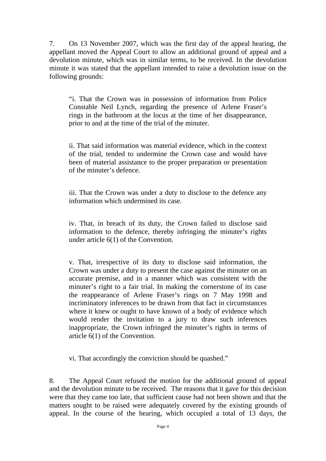7. On 13 November 2007, which was the first day of the appeal hearing, the appellant moved the Appeal Court to allow an additional ground of appeal and a devolution minute, which was in similar terms, to be received. In the devolution minute it was stated that the appellant intended to raise a devolution issue on the following grounds:

"i. That the Crown was in possession of information from Police Constable Neil Lynch, regarding the presence of Arlene Fraser's rings in the bathroom at the locus at the time of her disappearance, prior to and at the time of the trial of the minuter.

ii. That said information was material evidence, which in the context of the trial, tended to undermine the Crown case and would have been of material assistance to the proper preparation or presentation of the minuter's defence.

iii. That the Crown was under a duty to disclose to the defence any information which undermined its case.

iv. That, in breach of its duty, the Crown failed to disclose said information to the defence, thereby infringing the minuter's rights under article 6(1) of the Convention.

v. That, irrespective of its duty to disclose said information, the Crown was under a duty to present the case against the minuter on an accurate premise, and in a manner which was consistent with the minuter's right to a fair trial. In making the cornerstone of its case the reappearance of Arlene Fraser's rings on 7 May 1998 and incriminatory inferences to be drawn from that fact in circumstances where it knew or ought to have known of a body of evidence which would render the invitation to a jury to draw such inferences inappropriate, the Crown infringed the minuter's rights in terms of article 6(1) of the Convention.

vi. That accordingly the conviction should be quashed."

8. The Appeal Court refused the motion for the additional ground of appeal and the devolution minute to be received. The reasons that it gave for this decision were that they came too late, that sufficient cause had not been shown and that the matters sought to be raised were adequately covered by the existing grounds of appeal. In the course of the hearing, which occupied a total of 13 days, the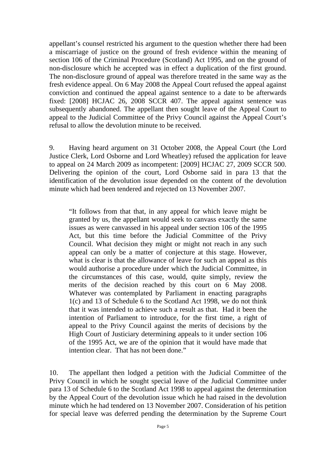appellant's counsel restricted his argument to the question whether there had been a miscarriage of justice on the ground of fresh evidence within the meaning of section 106 of the Criminal Procedure (Scotland) Act 1995, and on the ground of non-disclosure which he accepted was in effect a duplication of the first ground. The non-disclosure ground of appeal was therefore treated in the same way as the fresh evidence appeal. On 6 May 2008 the Appeal Court refused the appeal against conviction and continued the appeal against sentence to a date to be afterwards fixed: [2008] HCJAC 26, 2008 SCCR 407. The appeal against sentence was subsequently abandoned. The appellant then sought leave of the Appeal Court to appeal to the Judicial Committee of the Privy Council against the Appeal Court's refusal to allow the devolution minute to be received.

9. Having heard argument on 31 October 2008, the Appeal Court (the Lord Justice Clerk, Lord Osborne and Lord Wheatley) refused the application for leave to appeal on 24 March 2009 as incompetent: [2009] HCJAC 27, 2009 SCCR 500. Delivering the opinion of the court, Lord Osborne said in para 13 that the identification of the devolution issue depended on the content of the devolution minute which had been tendered and rejected on 13 November 2007.

"It follows from that that, in any appeal for which leave might be granted by us, the appellant would seek to canvass exactly the same issues as were canvassed in his appeal under section 106 of the 1995 Act, but this time before the Judicial Committee of the Privy Council. What decision they might or might not reach in any such appeal can only be a matter of conjecture at this stage. However, what is clear is that the allowance of leave for such an appeal as this would authorise a procedure under which the Judicial Committee, in the circumstances of this case, would, quite simply, review the merits of the decision reached by this court on 6 May 2008. Whatever was contemplated by Parliament in enacting paragraphs 1(c) and 13 of Schedule 6 to the Scotland Act 1998, we do not think that it was intended to achieve such a result as that. Had it been the intention of Parliament to introduce, for the first time, a right of appeal to the Privy Council against the merits of decisions by the High Court of Justiciary determining appeals to it under section 106 of the 1995 Act, we are of the opinion that it would have made that intention clear. That has not been done."

10. The appellant then lodged a petition with the Judicial Committee of the Privy Council in which he sought special leave of the Judicial Committee under para 13 of Schedule 6 to the Scotland Act 1998 to appeal against the determination by the Appeal Court of the devolution issue which he had raised in the devolution minute which he had tendered on 13 November 2007. Consideration of his petition for special leave was deferred pending the determination by the Supreme Court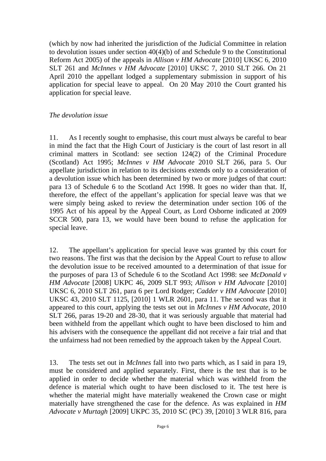(which by now had inherited the jurisdiction of the Judicial Committee in relation to devolution issues under section 40(4)(b) of and Schedule 9 to the Constitutional Reform Act 2005) of the appeals in *Allison v HM Advocate* [2010] UKSC 6, 2010 SLT 261 and *McInnes v HM Advocate* [2010] UKSC 7, 2010 SLT 266. On 21 April 2010 the appellant lodged a supplementary submission in support of his application for special leave to appeal. On 20 May 2010 the Court granted his application for special leave.

#### *The devolution issue*

11. As I recently sought to emphasise, this court must always be careful to bear in mind the fact that the High Court of Justiciary is the court of last resort in all criminal matters in Scotland: see section 124(2) of the Criminal Procedure (Scotland) Act 1995; *McInnes v HM Advocate* 2010 SLT 266, para 5. Our appellate jurisdiction in relation to its decisions extends only to a consideration of a devolution issue which has been determined by two or more judges of that court: para 13 of Schedule 6 to the Scotland Act 1998. It goes no wider than that. If, therefore, the effect of the appellant's application for special leave was that we were simply being asked to review the determination under section 106 of the 1995 Act of his appeal by the Appeal Court, as Lord Osborne indicated at 2009 SCCR 500, para 13, we would have been bound to refuse the application for special leave.

12. The appellant's application for special leave was granted by this court for two reasons. The first was that the decision by the Appeal Court to refuse to allow the devolution issue to be received amounted to a determination of that issue for the purposes of para 13 of Schedule 6 to the Scotland Act 1998: see *McDonald v HM Advocate* [2008] UKPC 46, 2009 SLT 993; *Allison v HM Advocate* [2010] UKSC 6, 2010 SLT 261, para 6 per Lord Rodger; *Cadder v HM Advocate* [2010] UKSC 43, 2010 SLT 1125, [2010] 1 WLR 2601, para 11. The second was that it appeared to this court, applying the tests set out in *McInnes v HM Advocate*, 2010 SLT 266, paras 19-20 and 28-30, that it was seriously arguable that material had been withheld from the appellant which ought to have been disclosed to him and his advisers with the consequence the appellant did not receive a fair trial and that the unfairness had not been remedied by the approach taken by the Appeal Court.

13. The tests set out in *McInnes* fall into two parts which, as I said in para 19, must be considered and applied separately. First, there is the test that is to be applied in order to decide whether the material which was withheld from the defence is material which ought to have been disclosed to it. The test here is whether the material might have materially weakened the Crown case or might materially have strengthened the case for the defence. As was explained in *HM Advocate v Murtagh* [2009] UKPC 35, 2010 SC (PC) 39, [2010] 3 WLR 816, para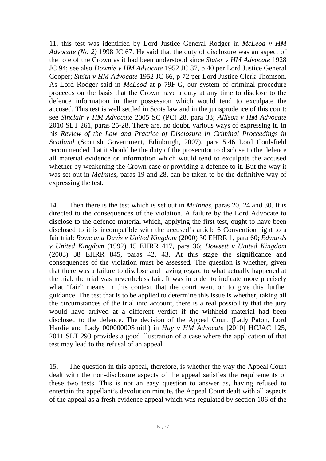11, this test was identified by Lord Justice General Rodger in *McLeod v HM Advocate (No 2)* 1998 JC 67. He said that the duty of disclosure was an aspect of the role of the Crown as it had been understood since *Slater v HM Advocate* 1928 JC 94; see also *Downie v HM Advocate* 1952 JC 37*,* p 40 per Lord Justice General Cooper; *Smith v HM Advocate* 1952 JC 66, p 72 per Lord Justice Clerk Thomson. As Lord Rodger said in *McLeod* at p 79F-G, our system of criminal procedure proceeds on the basis that the Crown have a duty at any time to disclose to the defence information in their possession which would tend to exculpate the accused. This test is well settled in Scots law and in the jurisprudence of this court: see *Sinclair v HM Advocate* 2005 SC (PC) 28, para 33; *Allison v HM Advocate*  2010 SLT 261, paras 25-28. There are, no doubt, various ways of expressing it. In his *Review of the Law and Practice of Disclosure in Criminal Proceedings in Scotland* (Scottish Government, Edinburgh, 2007), para 5.46 Lord Coulsfield recommended that it should be the duty of the prosecutor to disclose to the defence all material evidence or information which would tend to exculpate the accused whether by weakening the Crown case or providing a defence to it. But the way it was set out in *McInnes*, paras 19 and 28, can be taken to be the definitive way of expressing the test.

14. Then there is the test which is set out in *McInnes*, paras 20, 24 and 30. It is directed to the consequences of the violation. A failure by the Lord Advocate to disclose to the defence material which, applying the first test, ought to have been disclosed to it is incompatible with the accused's article 6 Convention right to a fair trial: *Rowe and Davis v United Kingdom* (2000) 30 EHRR 1, para 60; *Edwards v United Kingdom* (1992) 15 EHRR 417, para 36; *Dowsett v United Kingdom*  (2003) 38 EHRR 845, paras 42, 43. At this stage the significance and consequences of the violation must be assessed. The question is whether, given that there was a failure to disclose and having regard to what actually happened at the trial, the trial was nevertheless fair. It was in order to indicate more precisely what "fair" means in this context that the court went on to give this further guidance. The test that is to be applied to determine this issue is whether, taking all the circumstances of the trial into account, there is a real possibility that the jury would have arrived at a different verdict if the withheld material had been disclosed to the defence. The decision of the Appeal Court (Lady Paton, Lord Hardie and Lady 00000000Smith) in *Hay v HM Advocate* [2010] HCJAC 125, 2011 SLT 293 provides a good illustration of a case where the application of that test may lead to the refusal of an appeal.

15. The question in this appeal, therefore, is whether the way the Appeal Court dealt with the non-disclosure aspects of the appeal satisfies the requirements of these two tests. This is not an easy question to answer as, having refused to entertain the appellant's devolution minute, the Appeal Court dealt with all aspects of the appeal as a fresh evidence appeal which was regulated by section 106 of the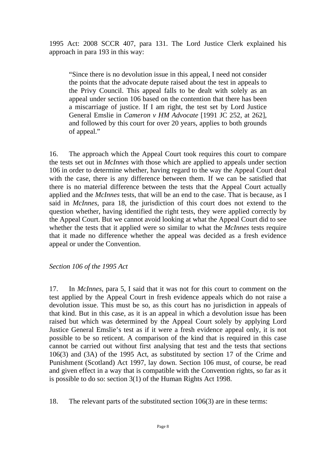1995 Act: 2008 SCCR 407, para 131. The Lord Justice Clerk explained his approach in para 193 in this way:

"Since there is no devolution issue in this appeal, I need not consider the points that the advocate depute raised about the test in appeals to the Privy Council. This appeal falls to be dealt with solely as an appeal under section 106 based on the contention that there has been a miscarriage of justice. If I am right, the test set by Lord Justice General Emslie in *Cameron v HM Advocate* [1991 JC 252, at 262], and followed by this court for over 20 years, applies to both grounds of appeal."

16. The approach which the Appeal Court took requires this court to compare the tests set out in *McInnes* with those which are applied to appeals under section 106 in order to determine whether, having regard to the way the Appeal Court deal with the case, there is any difference between them. If we can be satisfied that there is no material difference between the tests that the Appeal Court actually applied and the *McInnes* tests, that will be an end to the case. That is because, as I said in *McInnes*, para 18, the jurisdiction of this court does not extend to the question whether, having identified the right tests, they were applied correctly by the Appeal Court. But we cannot avoid looking at what the Appeal Court did to see whether the tests that it applied were so similar to what the *McInnes* tests require that it made no difference whether the appeal was decided as a fresh evidence appeal or under the Convention.

*Section 106 of the 1995 Act* 

17. In *McInnes*, para 5, I said that it was not for this court to comment on the test applied by the Appeal Court in fresh evidence appeals which do not raise a devolution issue. This must be so, as this court has no jurisdiction in appeals of that kind. But in this case, as it is an appeal in which a devolution issue has been raised but which was determined by the Appeal Court solely by applying Lord Justice General Emslie's test as if it were a fresh evidence appeal only, it is not possible to be so reticent. A comparison of the kind that is required in this case cannot be carried out without first analysing that test and the tests that sections 106(3) and (3A) of the 1995 Act, as substituted by section 17 of the Crime and Punishment (Scotland) Act 1997, lay down. Section 106 must, of course, be read and given effect in a way that is compatible with the Convention rights, so far as it is possible to do so: section 3(1) of the Human Rights Act 1998.

18. The relevant parts of the substituted section 106(3) are in these terms: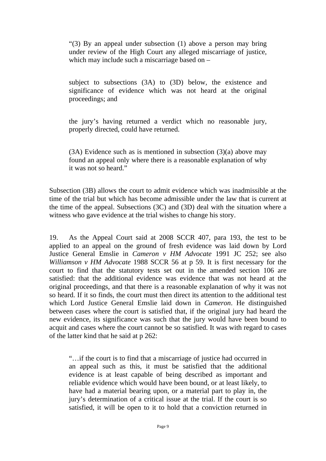"(3) By an appeal under subsection (1) above a person may bring under review of the High Court any alleged miscarriage of justice, which may include such a miscarriage based on –

subject to subsections (3A) to (3D) below, the existence and significance of evidence which was not heard at the original proceedings; and

the jury's having returned a verdict which no reasonable jury, properly directed, could have returned.

 $(3A)$  Evidence such as is mentioned in subsection  $(3)(a)$  above may found an appeal only where there is a reasonable explanation of why it was not so heard."

Subsection (3B) allows the court to admit evidence which was inadmissible at the time of the trial but which has become admissible under the law that is current at the time of the appeal. Subsections (3C) and (3D) deal with the situation where a witness who gave evidence at the trial wishes to change his story.

19. As the Appeal Court said at 2008 SCCR 407, para 193, the test to be applied to an appeal on the ground of fresh evidence was laid down by Lord Justice General Emslie in *Cameron v HM Advocate* 1991 JC 252; see also *Williamson v HM Advocate* 1988 SCCR 56 at p 59. It is first necessary for the court to find that the statutory tests set out in the amended section 106 are satisfied: that the additional evidence was evidence that was not heard at the original proceedings, and that there is a reasonable explanation of why it was not so heard. If it so finds, the court must then direct its attention to the additional test which Lord Justice General Emslie laid down in *Cameron*. He distinguished between cases where the court is satisfied that, if the original jury had heard the new evidence, its significance was such that the jury would have been bound to acquit and cases where the court cannot be so satisfied. It was with regard to cases of the latter kind that he said at p 262:

"…if the court is to find that a miscarriage of justice had occurred in an appeal such as this, it must be satisfied that the additional evidence is at least capable of being described as important and reliable evidence which would have been bound, or at least likely, to have had a material bearing upon, or a material part to play in, the jury's determination of a critical issue at the trial. If the court is so satisfied, it will be open to it to hold that a conviction returned in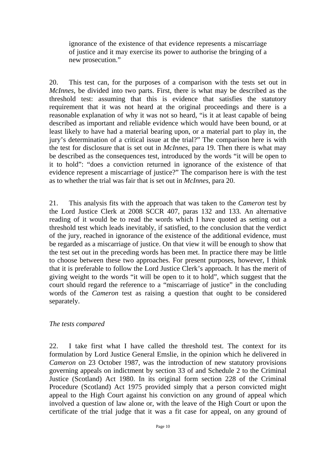ignorance of the existence of that evidence represents a miscarriage of justice and it may exercise its power to authorise the bringing of a new prosecution."

20. This test can, for the purposes of a comparison with the tests set out in *McInnes*, be divided into two parts. First, there is what may be described as the threshold test: assuming that this is evidence that satisfies the statutory requirement that it was not heard at the original proceedings and there is a reasonable explanation of why it was not so heard, "is it at least capable of being described as important and reliable evidence which would have been bound, or at least likely to have had a material bearing upon, or a material part to play in, the jury's determination of a critical issue at the trial?" The comparison here is with the test for disclosure that is set out in *McInnes*, para 19. Then there is what may be described as the consequences test, introduced by the words "it will be open to it to hold": "does a conviction returned in ignorance of the existence of that evidence represent a miscarriage of justice?" The comparison here is with the test as to whether the trial was fair that is set out in *McInnes*, para 20.

21. This analysis fits with the approach that was taken to the *Cameron* test by the Lord Justice Clerk at 2008 SCCR 407, paras 132 and 133. An alternative reading of it would be to read the words which I have quoted as setting out a threshold test which leads inevitably, if satisfied, to the conclusion that the verdict of the jury, reached in ignorance of the existence of the additional evidence, must be regarded as a miscarriage of justice. On that view it will be enough to show that the test set out in the preceding words has been met. In practice there may be little to choose between these two approaches. For present purposes, however, I think that it is preferable to follow the Lord Justice Clerk's approach. It has the merit of giving weight to the words "it will be open to it to hold", which suggest that the court should regard the reference to a "miscarriage of justice" in the concluding words of the *Cameron* test as raising a question that ought to be considered separately.

#### *The tests compared*

22. I take first what I have called the threshold test. The context for its formulation by Lord Justice General Emslie, in the opinion which he delivered in *Cameron* on 23 October 1987, was the introduction of new statutory provisions governing appeals on indictment by section 33 of and Schedule 2 to the Criminal Justice (Scotland) Act 1980. In its original form section 228 of the Criminal Procedure (Scotland) Act 1975 provided simply that a person convicted might appeal to the High Court against his conviction on any ground of appeal which involved a question of law alone or, with the leave of the High Court or upon the certificate of the trial judge that it was a fit case for appeal, on any ground of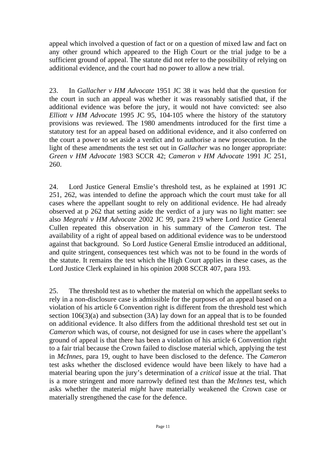appeal which involved a question of fact or on a question of mixed law and fact on any other ground which appeared to the High Court or the trial judge to be a sufficient ground of appeal. The statute did not refer to the possibility of relying on additional evidence, and the court had no power to allow a new trial.

23. In *Gallacher v HM Advocate* 1951 JC 38 it was held that the question for the court in such an appeal was whether it was reasonably satisfied that, if the additional evidence was before the jury, it would not have convicted: see also *Elliott v HM Advocate* 1995 JC 95, 104-105 where the history of the statutory provisions was reviewed. The 1980 amendments introduced for the first time a statutory test for an appeal based on additional evidence, and it also conferred on the court a power to set aside a verdict and to authorise a new prosecution. In the light of these amendments the test set out in *Gallacher* was no longer appropriate: *Green v HM Advocate* 1983 SCCR 42; *Cameron v HM Advocate* 1991 JC 251, 260.

24. Lord Justice General Emslie's threshold test, as he explained at 1991 JC 251, 262, was intended to define the approach which the court must take for all cases where the appellant sought to rely on additional evidence. He had already observed at p 262 that setting aside the verdict of a jury was no light matter: see also *Megrahi v HM Advocate* 2002 JC 99, para 219 where Lord Justice General Cullen repeated this observation in his summary of the *Cameron* test. The availability of a right of appeal based on additional evidence was to be understood against that background. So Lord Justice General Emslie introduced an additional, and quite stringent, consequences test which was not to be found in the words of the statute. It remains the test which the High Court applies in these cases, as the Lord Justice Clerk explained in his opinion 2008 SCCR 407, para 193.

25. The threshold test as to whether the material on which the appellant seeks to rely in a non-disclosure case is admissible for the purposes of an appeal based on a violation of his article 6 Convention right is different from the threshold test which section 106(3)(a) and subsection (3A) lay down for an appeal that is to be founded on additional evidence. It also differs from the additional threshold test set out in *Cameron* which was, of course, not designed for use in cases where the appellant's ground of appeal is that there has been a violation of his article 6 Convention right to a fair trial because the Crown failed to disclose material which, applying the test in *McInnes,* para 19, ought to have been disclosed to the defence. The *Cameron* test asks whether the disclosed evidence would have been likely to have had a material bearing upon the jury's determination of a *critical* issue at the trial. That is a more stringent and more narrowly defined test than the *McInnes* test, which asks whether the material *might* have materially weakened the Crown case or materially strengthened the case for the defence.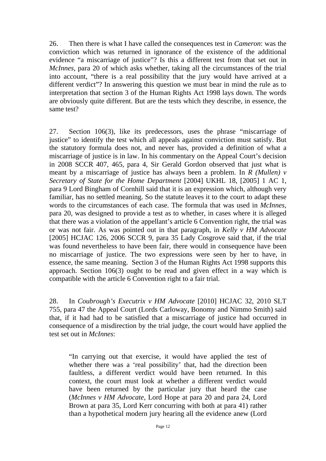26. Then there is what I have called the consequences test in *Cameron*: was the conviction which was returned in ignorance of the existence of the additional evidence "a miscarriage of justice"? Is this a different test from that set out in *McInnes*, para 20 of which asks whether, taking all the circumstances of the trial into account, "there is a real possibility that the jury would have arrived at a different verdict"? In answering this question we must bear in mind the rule as to interpretation that section 3 of the Human Rights Act 1998 lays down. The words are obviously quite different. But are the tests which they describe, in essence, the same test?

27. Section 106(3), like its predecessors, uses the phrase "miscarriage of justice" to identify the test which all appeals against conviction must satisfy. But the statutory formula does not, and never has, provided a definition of what a miscarriage of justice is in law. In his commentary on the Appeal Court's decision in 2008 SCCR 407, 465, para 4, Sir Gerald Gordon observed that just what is meant by a miscarriage of justice has always been a problem. In *R (Mullen) v Secretary of State for the Home Department* [2004] UKHL 18, [2005] 1 AC 1, para 9 Lord Bingham of Cornhill said that it is an expression which, although very familiar, has no settled meaning. So the statute leaves it to the court to adapt these words to the circumstances of each case. The formula that was used in *McInnes*, para 20, was designed to provide a test as to whether, in cases where it is alleged that there was a violation of the appellant's article 6 Convention right, the trial was or was not fair. As was pointed out in that paragraph, in *Kelly v HM Advocate* [2005] HCJAC 126, 2006 SCCR 9, para 35 Lady Cosgrove said that, if the trial was found nevertheless to have been fair, there would in consequence have been no miscarriage of justice. The two expressions were seen by her to have, in essence, the same meaning. Section 3 of the Human Rights Act 1998 supports this approach. Section 106(3) ought to be read and given effect in a way which is compatible with the article 6 Convention right to a fair trial.

28. In *Coubrough's Executrix v HM Advocate* [2010] HCJAC 32, 2010 SLT 755, para 47 the Appeal Court (Lords Carloway, Bonomy and Nimmo Smith) said that, if it had had to be satisfied that a miscarriage of justice had occurred in consequence of a misdirection by the trial judge, the court would have applied the test set out in *McInnes*:

"In carrying out that exercise, it would have applied the test of whether there was a 'real possibility' that, had the direction been faultless, a different verdict would have been returned. In this context, the court must look at whether a different verdict would have been returned by the particular jury that heard the case (*McInnes v HM Advocate*, Lord Hope at para 20 and para 24, Lord Brown at para 35, Lord Kerr concurring with both at para 41) rather than a hypothetical modern jury hearing all the evidence anew (Lord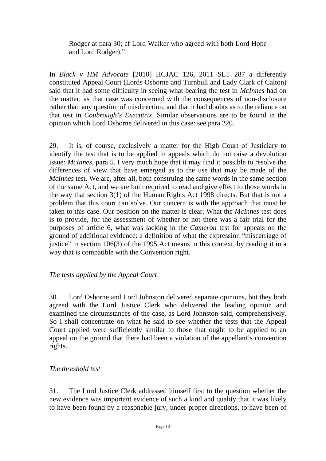Rodger at para 30; cf Lord Walker who agreed with both Lord Hope and Lord Rodger)."

In *Black v HM Advocate* [2010] HCJAC 126, 2011 SLT 287 a differently constituted Appeal Court (Lords Osborne and Turnbull and Lady Clark of Calton) said that it had some difficulty in seeing what bearing the test in *McInnes* had on the matter, as that case was concerned with the consequences of non-disclosure rather than any question of misdirection, and that it had doubts as to the reliance on that test in *Coubrough's Executrix*. Similar observations are to be found in the opinion which Lord Osborne delivered in this case: see para 220.

29. It is, of course, exclusively a matter for the High Court of Justiciary to identify the test that is to be applied in appeals which do not raise a devolution issue: *McInnes*, para 5. I very much hope that it may find it possible to resolve the differences of view that have emerged as to the use that may be made of the *McInnes* test. We are, after all, both construing the same words in the same section of the same Act, and we are both required to read and give effect to those words in the way that section 3(1) of the Human Rights Act 1998 directs. But that is not a problem that this court can solve. Our concern is with the approach that must be taken to this case. Our position on the matter is clear. What the *McInnes* test does is to provide, for the assessment of whether or not there was a fair trial for the purposes of article 6, what was lacking in the *Cameron* test for appeals on the ground of additional evidence: a definition of what the expression "miscarriage of justice" in section 106(3) of the 1995 Act means in this context, by reading it in a way that is compatible with the Convention right.

### *The tests applied by the Appeal Court*

30. Lord Osborne and Lord Johnston delivered separate opinions, but they both agreed with the Lord Justice Clerk who delivered the leading opinion and examined the circumstances of the case, as Lord Johnston said, comprehensively. So I shall concentrate on what he said to see whether the tests that the Appeal Court applied were sufficiently similar to those that ought to be applied to an appeal on the ground that there had been a violation of the appellant's convention rights.

#### *The threshold test*

31. The Lord Justice Clerk addressed himself first to the question whether the new evidence was important evidence of such a kind and quality that it was likely to have been found by a reasonable jury, under proper directions, to have been of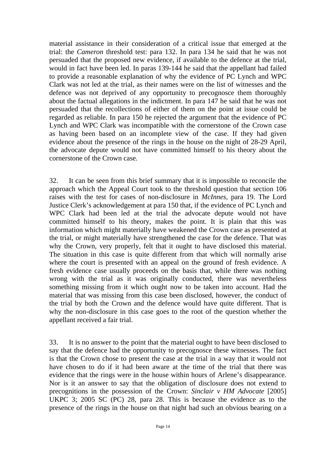material assistance in their consideration of a critical issue that emerged at the trial: the *Cameron* threshold test: para 132. In para 134 he said that he was not persuaded that the proposed new evidence, if available to the defence at the trial, would in fact have been led. In paras 139-144 he said that the appellant had failed to provide a reasonable explanation of why the evidence of PC Lynch and WPC Clark was not led at the trial, as their names were on the list of witnesses and the defence was not deprived of any opportunity to precognosce them thoroughly about the factual allegations in the indictment. In para 147 he said that he was not persuaded that the recollections of either of them on the point at issue could be regarded as reliable. In para 150 he rejected the argument that the evidence of PC Lynch and WPC Clark was incompatible with the cornerstone of the Crown case as having been based on an incomplete view of the case. If they had given evidence about the presence of the rings in the house on the night of 28-29 April, the advocate depute would not have committed himself to his theory about the cornerstone of the Crown case.

32. It can be seen from this brief summary that it is impossible to reconcile the approach which the Appeal Court took to the threshold question that section 106 raises with the test for cases of non-disclosure in *McInnes*, para 19. The Lord Justice Clerk's acknowledgement at para 150 that, if the evidence of PC Lynch and WPC Clark had been led at the trial the advocate depute would not have committed himself to his theory, makes the point. It is plain that this was information which might materially have weakened the Crown case as presented at the trial, or might materially have strengthened the case for the defence. That was why the Crown, very properly, felt that it ought to have disclosed this material. The situation in this case is quite different from that which will normally arise where the court is presented with an appeal on the ground of fresh evidence. A fresh evidence case usually proceeds on the basis that, while there was nothing wrong with the trial as it was originally conducted, there was nevertheless something missing from it which ought now to be taken into account. Had the material that was missing from this case been disclosed, however, the conduct of the trial by both the Crown and the defence would have quite different. That is why the non-disclosure in this case goes to the root of the question whether the appellant received a fair trial.

33. It is no answer to the point that the material ought to have been disclosed to say that the defence had the opportunity to precognosce these witnesses. The fact is that the Crown chose to present the case at the trial in a way that it would not have chosen to do if it had been aware at the time of the trial that there was evidence that the rings were in the house within hours of Arlene's disappearance. Nor is it an answer to say that the obligation of disclosure does not extend to precognitions in the possession of the Crown: *Sinclair v HM Advocate* [2005] UKPC 3; 2005 SC (PC) 28, para 28. This is because the evidence as to the presence of the rings in the house on that night had such an obvious bearing on a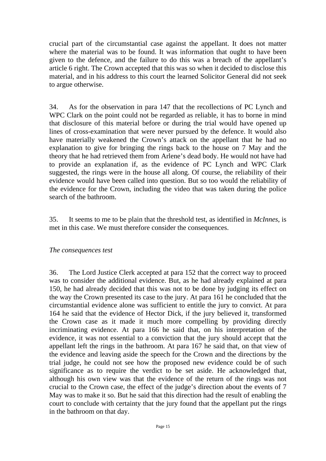crucial part of the circumstantial case against the appellant. It does not matter where the material was to be found. It was information that ought to have been given to the defence, and the failure to do this was a breach of the appellant's article 6 right. The Crown accepted that this was so when it decided to disclose this material, and in his address to this court the learned Solicitor General did not seek to argue otherwise.

34. As for the observation in para 147 that the recollections of PC Lynch and WPC Clark on the point could not be regarded as reliable, it has to borne in mind that disclosure of this material before or during the trial would have opened up lines of cross-examination that were never pursued by the defence. It would also have materially weakened the Crown's attack on the appellant that he had no explanation to give for bringing the rings back to the house on 7 May and the theory that he had retrieved them from Arlene's dead body. He would not have had to provide an explanation if, as the evidence of PC Lynch and WPC Clark suggested, the rings were in the house all along. Of course, the reliability of their evidence would have been called into question. But so too would the reliability of the evidence for the Crown, including the video that was taken during the police search of the bathroom.

35. It seems to me to be plain that the threshold test, as identified in *McInnes*, is met in this case. We must therefore consider the consequences.

#### *The consequences test*

36. The Lord Justice Clerk accepted at para 152 that the correct way to proceed was to consider the additional evidence. But, as he had already explained at para 150, he had already decided that this was not to be done by judging its effect on the way the Crown presented its case to the jury. At para 161 he concluded that the circumstantial evidence alone was sufficient to entitle the jury to convict. At para 164 he said that the evidence of Hector Dick, if the jury believed it, transformed the Crown case as it made it much more compelling by providing directly incriminating evidence. At para 166 he said that, on his interpretation of the evidence, it was not essential to a conviction that the jury should accept that the appellant left the rings in the bathroom. At para 167 he said that, on that view of the evidence and leaving aside the speech for the Crown and the directions by the trial judge, he could not see how the proposed new evidence could be of such significance as to require the verdict to be set aside. He acknowledged that, although his own view was that the evidence of the return of the rings was not crucial to the Crown case, the effect of the judge's direction about the events of 7 May was to make it so. But he said that this direction had the result of enabling the court to conclude with certainty that the jury found that the appellant put the rings in the bathroom on that day.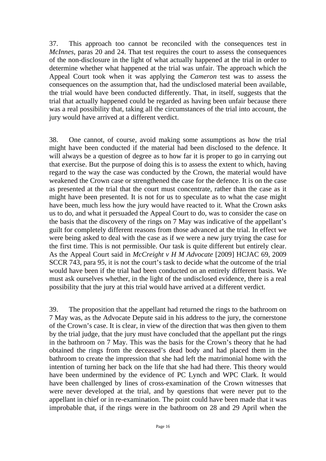37. This approach too cannot be reconciled with the consequences test in *McInnes*, paras 20 and 24. That test requires the court to assess the consequences of the non-disclosure in the light of what actually happened at the trial in order to determine whether what happened at the trial was unfair. The approach which the Appeal Court took when it was applying the *Cameron* test was to assess the consequences on the assumption that, had the undisclosed material been available, the trial would have been conducted differently. That, in itself, suggests that the trial that actually happened could be regarded as having been unfair because there was a real possibility that, taking all the circumstances of the trial into account, the jury would have arrived at a different verdict.

38. One cannot, of course, avoid making some assumptions as how the trial might have been conducted if the material had been disclosed to the defence. It will always be a question of degree as to how far it is proper to go in carrying out that exercise. But the purpose of doing this is to assess the extent to which, having regard to the way the case was conducted by the Crown, the material would have weakened the Crown case or strengthened the case for the defence. It is on the case as presented at the trial that the court must concentrate, rather than the case as it might have been presented. It is not for us to speculate as to what the case might have been, much less how the jury would have reacted to it. What the Crown asks us to do, and what it persuaded the Appeal Court to do, was to consider the case on the basis that the discovery of the rings on 7 May was indicative of the appellant's guilt for completely different reasons from those advanced at the trial. In effect we were being asked to deal with the case as if we were a new jury trying the case for the first time. This is not permissible. Our task is quite different but entirely clear. As the Appeal Court said in *McCreight v H M Advocate* [2009] HCJAC 69, 2009 SCCR 743, para 95, it is not the court's task to decide what the outcome of the trial would have been if the trial had been conducted on an entirely different basis. We must ask ourselves whether, in the light of the undisclosed evidence, there is a real possibility that the jury at this trial would have arrived at a different verdict.

39. The proposition that the appellant had returned the rings to the bathroom on 7 May was, as the Advocate Depute said in his address to the jury, the cornerstone of the Crown's case. It is clear, in view of the direction that was then given to them by the trial judge, that the jury must have concluded that the appellant put the rings in the bathroom on 7 May. This was the basis for the Crown's theory that he had obtained the rings from the deceased's dead body and had placed them in the bathroom to create the impression that she had left the matrimonial home with the intention of turning her back on the life that she had had there. This theory would have been undermined by the evidence of PC Lynch and WPC Clark. It would have been challenged by lines of cross-examination of the Crown witnesses that were never developed at the trial, and by questions that were never put to the appellant in chief or in re-examination. The point could have been made that it was improbable that, if the rings were in the bathroom on 28 and 29 April when the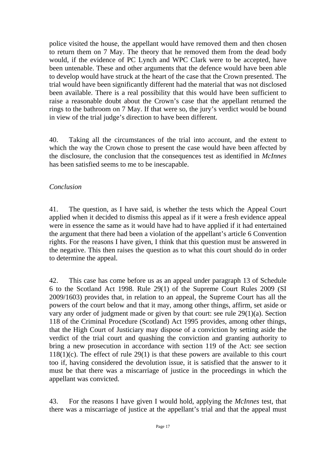police visited the house, the appellant would have removed them and then chosen to return them on 7 May. The theory that he removed them from the dead body would, if the evidence of PC Lynch and WPC Clark were to be accepted, have been untenable. These and other arguments that the defence would have been able to develop would have struck at the heart of the case that the Crown presented. The trial would have been significantly different had the material that was not disclosed been available. There is a real possibility that this would have been sufficient to raise a reasonable doubt about the Crown's case that the appellant returned the rings to the bathroom on 7 May. If that were so, the jury's verdict would be bound in view of the trial judge's direction to have been different.

40. Taking all the circumstances of the trial into account, and the extent to which the way the Crown chose to present the case would have been affected by the disclosure, the conclusion that the consequences test as identified in *McInnes* has been satisfied seems to me to be inescapable.

#### *Conclusion*

41. The question, as I have said, is whether the tests which the Appeal Court applied when it decided to dismiss this appeal as if it were a fresh evidence appeal were in essence the same as it would have had to have applied if it had entertained the argument that there had been a violation of the appellant's article 6 Convention rights. For the reasons I have given, I think that this question must be answered in the negative. This then raises the question as to what this court should do in order to determine the appeal.

42. This case has come before us as an appeal under paragraph 13 of Schedule 6 to the Scotland Act 1998. Rule 29(1) of the Supreme Court Rules 2009 (SI 2009/1603) provides that, in relation to an appeal, the Supreme Court has all the powers of the court below and that it may, among other things, affirm, set aside or vary any order of judgment made or given by that court: see rule 29(1)(a). Section 118 of the Criminal Procedure (Scotland) Act 1995 provides, among other things, that the High Court of Justiciary may dispose of a conviction by setting aside the verdict of the trial court and quashing the conviction and granting authority to bring a new prosecution in accordance with section 119 of the Act: see section  $118(1)(c)$ . The effect of rule 29(1) is that these powers are available to this court too if, having considered the devolution issue, it is satisfied that the answer to it must be that there was a miscarriage of justice in the proceedings in which the appellant was convicted.

43. For the reasons I have given I would hold, applying the *McInnes* test, that there was a miscarriage of justice at the appellant's trial and that the appeal must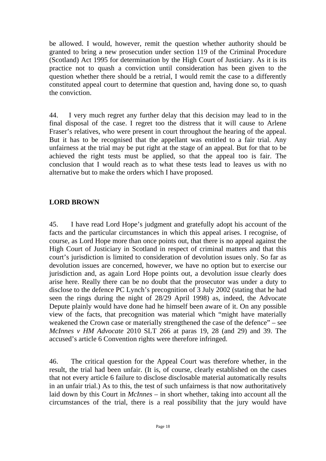be allowed. I would, however, remit the question whether authority should be granted to bring a new prosecution under section 119 of the Criminal Procedure (Scotland) Act 1995 for determination by the High Court of Justiciary. As it is its practice not to quash a conviction until consideration has been given to the question whether there should be a retrial, I would remit the case to a differently constituted appeal court to determine that question and, having done so, to quash the conviction.

44. I very much regret any further delay that this decision may lead to in the final disposal of the case. I regret too the distress that it will cause to Arlene Fraser's relatives, who were present in court throughout the hearing of the appeal. But it has to be recognised that the appellant was entitled to a fair trial. Any unfairness at the trial may be put right at the stage of an appeal. But for that to be achieved the right tests must be applied, so that the appeal too is fair. The conclusion that I would reach as to what these tests lead to leaves us with no alternative but to make the orders which I have proposed.

### **LORD BROWN**

45. I have read Lord Hope's judgment and gratefully adopt his account of the facts and the particular circumstances in which this appeal arises. I recognise, of course, as Lord Hope more than once points out, that there is no appeal against the High Court of Justiciary in Scotland in respect of criminal matters and that this court's jurisdiction is limited to consideration of devolution issues only. So far as devolution issues are concerned, however, we have no option but to exercise our jurisdiction and, as again Lord Hope points out, a devolution issue clearly does arise here. Really there can be no doubt that the prosecutor was under a duty to disclose to the defence PC Lynch's precognition of 3 July 2002 (stating that he had seen the rings during the night of 28/29 April 1998) as, indeed, the Advocate Depute plainly would have done had he himself been aware of it. On any possible view of the facts, that precognition was material which "might have materially weakened the Crown case or materially strengthened the case of the defence" – see *McInnes v HM Advocate* 2010 SLT 266 at paras 19, 28 (and 29) and 39. The accused's article 6 Convention rights were therefore infringed.

46. The critical question for the Appeal Court was therefore whether, in the result, the trial had been unfair. (It is, of course, clearly established on the cases that not every article 6 failure to disclose disclosable material automatically results in an unfair trial.) As to this, the test of such unfairness is that now authoritatively laid down by this Court in *McInnes* – in short whether, taking into account all the circumstances of the trial, there is a real possibility that the jury would have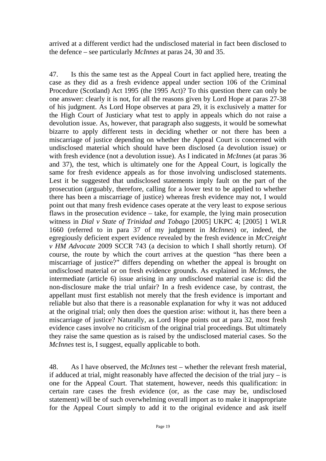arrived at a different verdict had the undisclosed material in fact been disclosed to the defence – see particularly *McInnes* at paras 24, 30 and 35.

47. Is this the same test as the Appeal Court in fact applied here, treating the case as they did as a fresh evidence appeal under section 106 of the Criminal Procedure (Scotland) Act 1995 (the 1995 Act)? To this question there can only be one answer: clearly it is not, for all the reasons given by Lord Hope at paras 27-38 of his judgment. As Lord Hope observes at para 29, it is exclusively a matter for the High Court of Justiciary what test to apply in appeals which do not raise a devolution issue. As, however, that paragraph also suggests, it would be somewhat bizarre to apply different tests in deciding whether or not there has been a miscarriage of justice depending on whether the Appeal Court is concerned with undisclosed material which should have been disclosed (a devolution issue) or with fresh evidence (not a devolution issue). As I indicated in *McInnes* (at paras 36 and 37), the test, which is ultimately one for the Appeal Court, is logically the same for fresh evidence appeals as for those involving undisclosed statements. Lest it be suggested that undisclosed statements imply fault on the part of the prosecution (arguably, therefore, calling for a lower test to be applied to whether there has been a miscarriage of justice) whereas fresh evidence may not, I would point out that many fresh evidence cases operate at the very least to expose serious flaws in the prosecution evidence – take, for example, the lying main prosecution witness in *Dial v State of Trinidad and Tobago* [2005] UKPC 4; [2005] 1 WLR 1660 (referred to in para 37 of my judgment in *McInnes*) or, indeed, the egregiously deficient expert evidence revealed by the fresh evidence in *McCreight v HM Advocate* 2009 SCCR 743 (a decision to which I shall shortly return). Of course, the route by which the court arrives at the question "has there been a miscarriage of justice?" differs depending on whether the appeal is brought on undisclosed material or on fresh evidence grounds. As explained in *McInnes*, the intermediate (article 6) issue arising in any undisclosed material case is: did the non-disclosure make the trial unfair? In a fresh evidence case, by contrast, the appellant must first establish not merely that the fresh evidence is important and reliable but also that there is a reasonable explanation for why it was not adduced at the original trial; only then does the question arise: without it, has there been a miscarriage of justice? Naturally, as Lord Hope points out at para 32, most fresh evidence cases involve no criticism of the original trial proceedings. But ultimately they raise the same question as is raised by the undisclosed material cases. So the *McInnes* test is, I suggest, equally applicable to both.

48. As I have observed, the *McInnes* test – whether the relevant fresh material, if adduced at trial, might reasonably have affected the decision of the trial jury – is one for the Appeal Court. That statement, however, needs this qualification: in certain rare cases the fresh evidence (or, as the case may be, undisclosed statement) will be of such overwhelming overall import as to make it inappropriate for the Appeal Court simply to add it to the original evidence and ask itself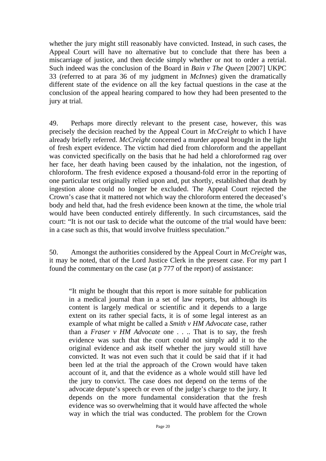whether the jury might still reasonably have convicted. Instead, in such cases, the Appeal Court will have no alternative but to conclude that there has been a miscarriage of justice, and then decide simply whether or not to order a retrial. Such indeed was the conclusion of the Board in *Bain v The Queen* [2007] UKPC 33 (referred to at para 36 of my judgment in *McInnes*) given the dramatically different state of the evidence on all the key factual questions in the case at the conclusion of the appeal hearing compared to how they had been presented to the jury at trial.

49. Perhaps more directly relevant to the present case, however, this was precisely the decision reached by the Appeal Court in *McCreight* to which I have already briefly referred. *McCreight* concerned a murder appeal brought in the light of fresh expert evidence. The victim had died from chloroform and the appellant was convicted specifically on the basis that he had held a chloroformed rag over her face, her death having been caused by the inhalation, not the ingestion, of chloroform. The fresh evidence exposed a thousand-fold error in the reporting of one particular test originally relied upon and, put shortly, established that death by ingestion alone could no longer be excluded. The Appeal Court rejected the Crown's case that it mattered not which way the chloroform entered the deceased's body and held that, had the fresh evidence been known at the time, the whole trial would have been conducted entirely differently. In such circumstances, said the court: "It is not our task to decide what the outcome of the trial would have been: in a case such as this, that would involve fruitless speculation."

50. Amongst the authorities considered by the Appeal Court in *McCreight* was, it may be noted, that of the Lord Justice Clerk in the present case. For my part I found the commentary on the case (at p 777 of the report) of assistance:

"It might be thought that this report is more suitable for publication in a medical journal than in a set of law reports, but although its content is largely medical or scientific and it depends to a large extent on its rather special facts, it is of some legal interest as an example of what might be called a *Smith v HM Advocate* case, rather than a *Fraser v HM Advocate* one . . .. That is to say, the fresh evidence was such that the court could not simply add it to the original evidence and ask itself whether the jury would still have convicted. It was not even such that it could be said that if it had been led at the trial the approach of the Crown would have taken account of it, and that the evidence as a whole would still have led the jury to convict. The case does not depend on the terms of the advocate depute's speech or even of the judge's charge to the jury. It depends on the more fundamental consideration that the fresh evidence was so overwhelming that it would have affected the whole way in which the trial was conducted. The problem for the Crown